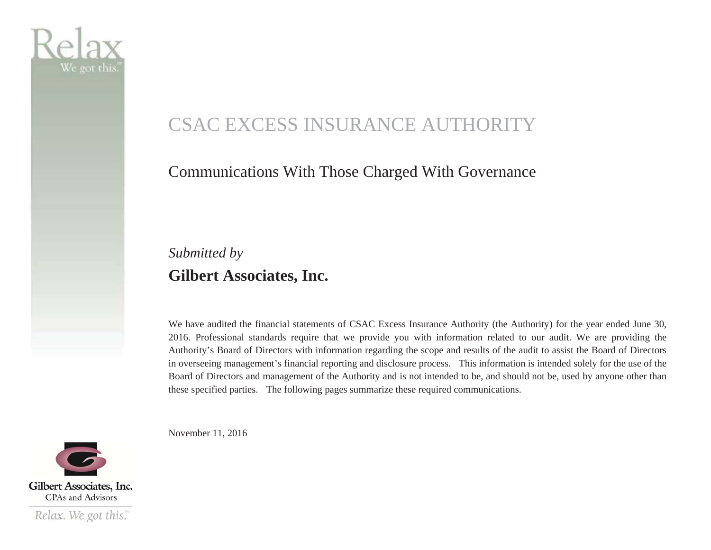

# CSAC EXCESS INSURANCE AUTHORITY

#### Communications With Those Charged With Governance

#### *Submitted by*  **Gilbert Associates, Inc.**

We have audited the financial statements of CSAC Excess Insurance Authority (the Authority) for the year ended June 30, 2016. Professional standards require that we provide you with information related to our audit. We are providing the Authority's Board of Directors with information regarding the scope and results of the audit to assist the Board of Directors in overseeing management's financial reporting and disclosure process. This information is intended solely for the use of the Board of Directors and management of the Authority and is not intended to be, and should not be, used by anyone other than these specified parties. The following pages summarize these required communications.

November 11, 2016

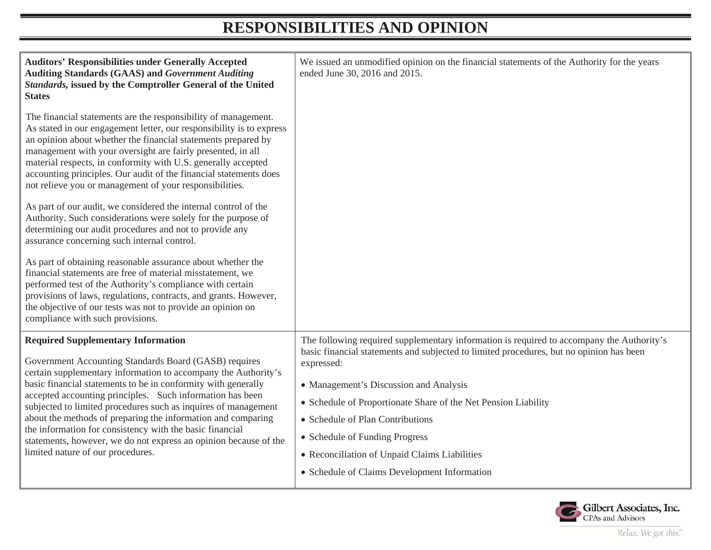### **RESPONSIBILITIES AND OPINION**

| <b>Auditors' Responsibilities under Generally Accepted</b><br><b>Auditing Standards (GAAS) and Government Auditing</b><br>Standards, issued by the Comptroller General of the United<br><b>States</b>                                                                                                                                                                                                                                                                                                                                                                                                     | We issued an unmodified opinion on the financial statements of the Authority for the years<br>ended June 30, 2016 and 2015.                                                                                                                                                                                                                                                                                                                                                           |
|-----------------------------------------------------------------------------------------------------------------------------------------------------------------------------------------------------------------------------------------------------------------------------------------------------------------------------------------------------------------------------------------------------------------------------------------------------------------------------------------------------------------------------------------------------------------------------------------------------------|---------------------------------------------------------------------------------------------------------------------------------------------------------------------------------------------------------------------------------------------------------------------------------------------------------------------------------------------------------------------------------------------------------------------------------------------------------------------------------------|
| The financial statements are the responsibility of management.<br>As stated in our engagement letter, our responsibility is to express<br>an opinion about whether the financial statements prepared by<br>management with your oversight are fairly presented, in all<br>material respects, in conformity with U.S. generally accepted<br>accounting principles. Our audit of the financial statements does<br>not relieve you or management of your responsibilities.                                                                                                                                   |                                                                                                                                                                                                                                                                                                                                                                                                                                                                                       |
| As part of our audit, we considered the internal control of the<br>Authority. Such considerations were solely for the purpose of<br>determining our audit procedures and not to provide any<br>assurance concerning such internal control.                                                                                                                                                                                                                                                                                                                                                                |                                                                                                                                                                                                                                                                                                                                                                                                                                                                                       |
| As part of obtaining reasonable assurance about whether the<br>financial statements are free of material misstatement, we<br>performed test of the Authority's compliance with certain<br>provisions of laws, regulations, contracts, and grants. However,<br>the objective of our tests was not to provide an opinion on<br>compliance with such provisions.                                                                                                                                                                                                                                             |                                                                                                                                                                                                                                                                                                                                                                                                                                                                                       |
| <b>Required Supplementary Information</b><br>Government Accounting Standards Board (GASB) requires<br>certain supplementary information to accompany the Authority's<br>basic financial statements to be in conformity with generally<br>accepted accounting principles. Such information has been<br>subjected to limited procedures such as inquires of management<br>about the methods of preparing the information and comparing<br>the information for consistency with the basic financial<br>statements, however, we do not express an opinion because of the<br>limited nature of our procedures. | The following required supplementary information is required to accompany the Authority's<br>basic financial statements and subjected to limited procedures, but no opinion has been<br>expressed:<br>• Management's Discussion and Analysis<br>• Schedule of Proportionate Share of the Net Pension Liability<br>• Schedule of Plan Contributions<br>• Schedule of Funding Progress<br>• Reconciliation of Unpaid Claims Liabilities<br>• Schedule of Claims Development Information |

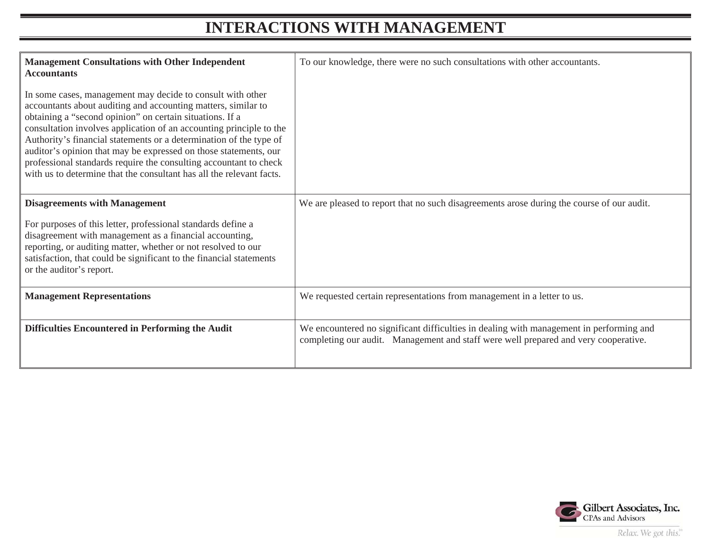#### **INTERACTIONS WITH MANAGEMENT**

| <b>Management Consultations with Other Independent</b><br><b>Accountants</b>                                                                                                                                                                                                                                                                                                                                                                                                                                                                          | To our knowledge, there were no such consultations with other accountants.                                                                                                     |
|-------------------------------------------------------------------------------------------------------------------------------------------------------------------------------------------------------------------------------------------------------------------------------------------------------------------------------------------------------------------------------------------------------------------------------------------------------------------------------------------------------------------------------------------------------|--------------------------------------------------------------------------------------------------------------------------------------------------------------------------------|
| In some cases, management may decide to consult with other<br>accountants about auditing and accounting matters, similar to<br>obtaining a "second opinion" on certain situations. If a<br>consultation involves application of an accounting principle to the<br>Authority's financial statements or a determination of the type of<br>auditor's opinion that may be expressed on those statements, our<br>professional standards require the consulting accountant to check<br>with us to determine that the consultant has all the relevant facts. |                                                                                                                                                                                |
| <b>Disagreements with Management</b>                                                                                                                                                                                                                                                                                                                                                                                                                                                                                                                  | We are pleased to report that no such disagreements arose during the course of our audit.                                                                                      |
| For purposes of this letter, professional standards define a<br>disagreement with management as a financial accounting,<br>reporting, or auditing matter, whether or not resolved to our<br>satisfaction, that could be significant to the financial statements<br>or the auditor's report.                                                                                                                                                                                                                                                           |                                                                                                                                                                                |
| <b>Management Representations</b>                                                                                                                                                                                                                                                                                                                                                                                                                                                                                                                     | We requested certain representations from management in a letter to us.                                                                                                        |
| Difficulties Encountered in Performing the Audit                                                                                                                                                                                                                                                                                                                                                                                                                                                                                                      | We encountered no significant difficulties in dealing with management in performing and<br>completing our audit. Management and staff were well prepared and very cooperative. |

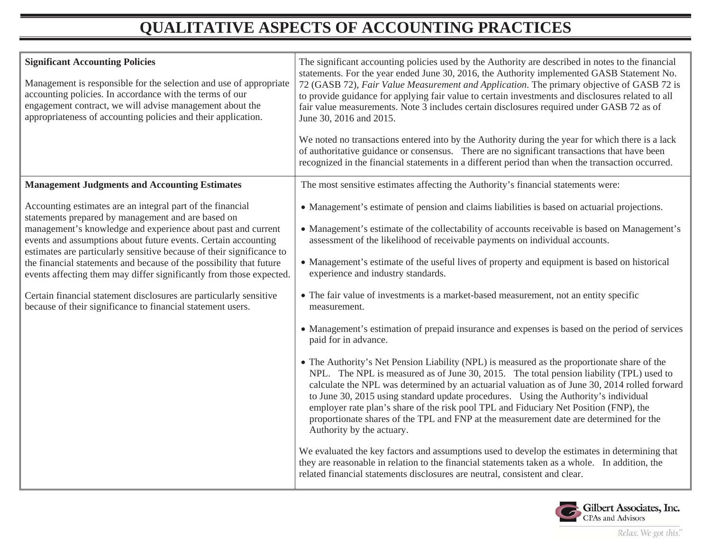## **QUALITATIVE ASPECTS OF ACCOUNTING PRACTICES**

| <b>Significant Accounting Policies</b><br>Management is responsible for the selection and use of appropriate<br>accounting policies. In accordance with the terms of our<br>engagement contract, we will advise management about the<br>appropriateness of accounting policies and their application. | The significant accounting policies used by the Authority are described in notes to the financial<br>statements. For the year ended June 30, 2016, the Authority implemented GASB Statement No.<br>72 (GASB 72), Fair Value Measurement and Application. The primary objective of GASB 72 is<br>to provide guidance for applying fair value to certain investments and disclosures related to all<br>fair value measurements. Note 3 includes certain disclosures required under GASB 72 as of<br>June 30, 2016 and 2015.<br>We noted no transactions entered into by the Authority during the year for which there is a lack<br>of authoritative guidance or consensus. There are no significant transactions that have been<br>recognized in the financial statements in a different period than when the transaction occurred. |
|-------------------------------------------------------------------------------------------------------------------------------------------------------------------------------------------------------------------------------------------------------------------------------------------------------|-----------------------------------------------------------------------------------------------------------------------------------------------------------------------------------------------------------------------------------------------------------------------------------------------------------------------------------------------------------------------------------------------------------------------------------------------------------------------------------------------------------------------------------------------------------------------------------------------------------------------------------------------------------------------------------------------------------------------------------------------------------------------------------------------------------------------------------|
| <b>Management Judgments and Accounting Estimates</b>                                                                                                                                                                                                                                                  | The most sensitive estimates affecting the Authority's financial statements were:                                                                                                                                                                                                                                                                                                                                                                                                                                                                                                                                                                                                                                                                                                                                                 |
| Accounting estimates are an integral part of the financial                                                                                                                                                                                                                                            | • Management's estimate of pension and claims liabilities is based on actuarial projections.                                                                                                                                                                                                                                                                                                                                                                                                                                                                                                                                                                                                                                                                                                                                      |
| statements prepared by management and are based on<br>management's knowledge and experience about past and current<br>events and assumptions about future events. Certain accounting<br>estimates are particularly sensitive because of their significance to                                         | • Management's estimate of the collectability of accounts receivable is based on Management's<br>assessment of the likelihood of receivable payments on individual accounts.                                                                                                                                                                                                                                                                                                                                                                                                                                                                                                                                                                                                                                                      |
| the financial statements and because of the possibility that future<br>events affecting them may differ significantly from those expected.                                                                                                                                                            | • Management's estimate of the useful lives of property and equipment is based on historical<br>experience and industry standards.                                                                                                                                                                                                                                                                                                                                                                                                                                                                                                                                                                                                                                                                                                |
| Certain financial statement disclosures are particularly sensitive<br>because of their significance to financial statement users.                                                                                                                                                                     | • The fair value of investments is a market-based measurement, not an entity specific<br>measurement.                                                                                                                                                                                                                                                                                                                                                                                                                                                                                                                                                                                                                                                                                                                             |
|                                                                                                                                                                                                                                                                                                       | • Management's estimation of prepaid insurance and expenses is based on the period of services<br>paid for in advance.                                                                                                                                                                                                                                                                                                                                                                                                                                                                                                                                                                                                                                                                                                            |
|                                                                                                                                                                                                                                                                                                       | • The Authority's Net Pension Liability (NPL) is measured as the proportionate share of the<br>NPL. The NPL is measured as of June 30, 2015. The total pension liability (TPL) used to<br>calculate the NPL was determined by an actuarial valuation as of June 30, 2014 rolled forward<br>to June 30, 2015 using standard update procedures. Using the Authority's individual<br>employer rate plan's share of the risk pool TPL and Fiduciary Net Position (FNP), the<br>proportionate shares of the TPL and FNP at the measurement date are determined for the<br>Authority by the actuary.                                                                                                                                                                                                                                    |
|                                                                                                                                                                                                                                                                                                       | We evaluated the key factors and assumptions used to develop the estimates in determining that<br>they are reasonable in relation to the financial statements taken as a whole. In addition, the<br>related financial statements disclosures are neutral, consistent and clear.                                                                                                                                                                                                                                                                                                                                                                                                                                                                                                                                                   |